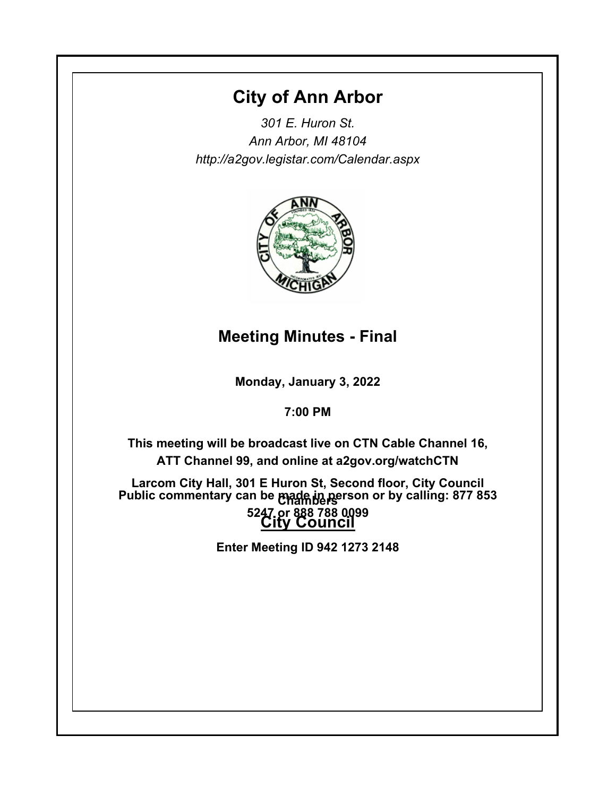# **City of Ann Arbor**

*301 E. Huron St. Ann Arbor, MI 48104 http://a2gov.legistar.com/Calendar.aspx*



## **Meeting Minutes - Final**

**Monday, January 3, 2022**

**7:00 PM**

**This meeting will be broadcast live on CTN Cable Channel 16, ATT Channel 99, and online at a2gov.org/watchCTN** 

**Larcom City Hall, 301 E Huron St, Second floor, City Council Chambers Public commentary can be made in person or by calling: 877 853 City Council 5247 or 888 788 0099** 

**Enter Meeting ID 942 1273 2148**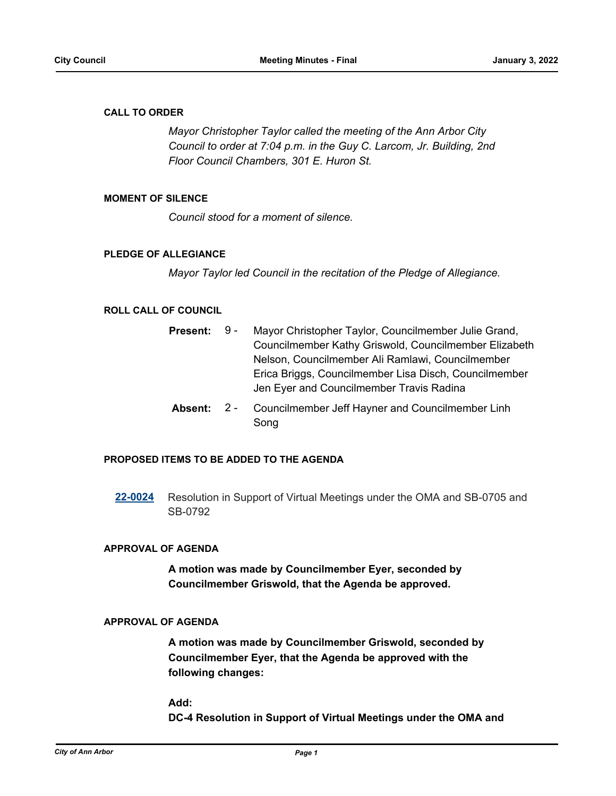#### **CALL TO ORDER**

*Mayor Christopher Taylor called the meeting of the Ann Arbor City Council to order at 7:04 p.m. in the Guy C. Larcom, Jr. Building, 2nd Floor Council Chambers, 301 E. Huron St.*

#### **MOMENT OF SILENCE**

*Council stood for a moment of silence.*

#### **PLEDGE OF ALLEGIANCE**

*Mayor Taylor led Council in the recitation of the Pledge of Allegiance.*

#### **ROLL CALL OF COUNCIL**

| <b>Present:</b> | 9 - | Mayor Christopher Taylor, Councilmember Julie Grand,                        |
|-----------------|-----|-----------------------------------------------------------------------------|
|                 |     | Councilmember Kathy Griswold, Councilmember Elizabeth                       |
|                 |     | Nelson, Councilmember Ali Ramlawi, Councilmember                            |
|                 |     | Erica Briggs, Councilmember Lisa Disch, Councilmember                       |
|                 |     | Jen Eyer and Councilmember Travis Radina                                    |
|                 |     | <b>Absent:</b> 2 - Councilmember Jeff Hayner and Councilmember Linh<br>Song |

#### **PROPOSED ITEMS TO BE ADDED TO THE AGENDA**

**[22-0024](http://a2gov.legistar.com/gateway.aspx?M=L&ID=29215)** Resolution in Support of Virtual Meetings under the OMA and SB-0705 and SB-0792

#### **APPROVAL OF AGENDA**

**A motion was made by Councilmember Eyer, seconded by Councilmember Griswold, that the Agenda be approved.**

#### **APPROVAL OF AGENDA**

**A motion was made by Councilmember Griswold, seconded by Councilmember Eyer, that the Agenda be approved with the following changes:**

#### **Add:**

**DC-4 Resolution in Support of Virtual Meetings under the OMA and**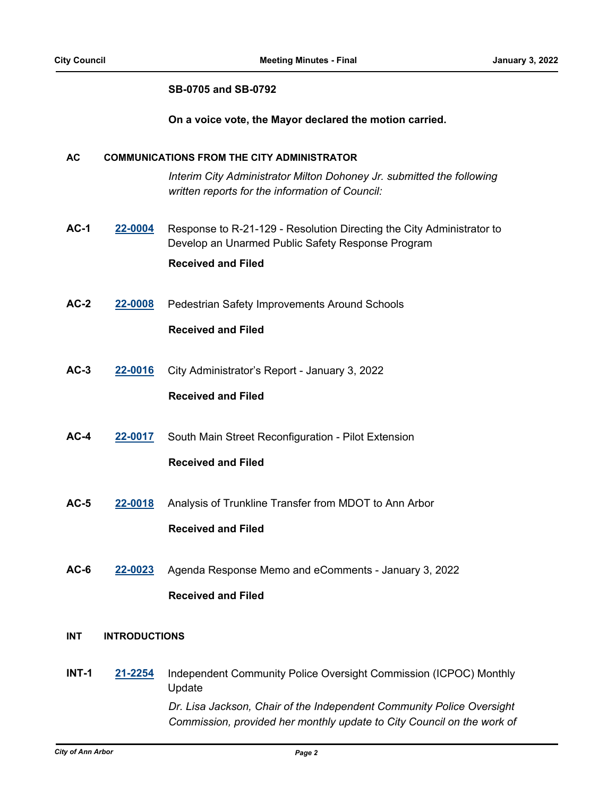#### **SB-0705 and SB-0792**

**On a voice vote, the Mayor declared the motion carried.**

#### **AC COMMUNICATIONS FROM THE CITY ADMINISTRATOR**

*Interim City Administrator Milton Dohoney Jr. submitted the following written reports for the information of Council:*

- **AC-1 [22-0004](http://a2gov.legistar.com/gateway.aspx?M=L&ID=29195)** Response to R-21-129 Resolution Directing the City Administrator to Develop an Unarmed Public Safety Response Program **Received and Filed**
- **AC-2 [22-0008](http://a2gov.legistar.com/gateway.aspx?M=L&ID=29199)** Pedestrian Safety Improvements Around Schools

#### **Received and Filed**

**AC-3 [22-0016](http://a2gov.legistar.com/gateway.aspx?M=L&ID=29207)** City Administrator's Report - January 3, 2022

### **Received and Filed**

**AC-4 [22-0017](http://a2gov.legistar.com/gateway.aspx?M=L&ID=29208)** South Main Street Reconfiguration - Pilot Extension

### **Received and Filed**

- **AC-5 [22-0018](http://a2gov.legistar.com/gateway.aspx?M=L&ID=29209)** Analysis of Trunkline Transfer from MDOT to Ann Arbor **Received and Filed**
- **AC-6 [22-0023](http://a2gov.legistar.com/gateway.aspx?M=L&ID=29214)** Agenda Response Memo and eComments January 3, 2022 **Received and Filed**

#### **INT INTRODUCTIONS**

**INT-1 [21-2254](http://a2gov.legistar.com/gateway.aspx?M=L&ID=29170)** Independent Community Police Oversight Commission (ICPOC) Monthly Update *Dr. Lisa Jackson, Chair of the Independent Community Police Oversight Commission, provided her monthly update to City Council on the work of*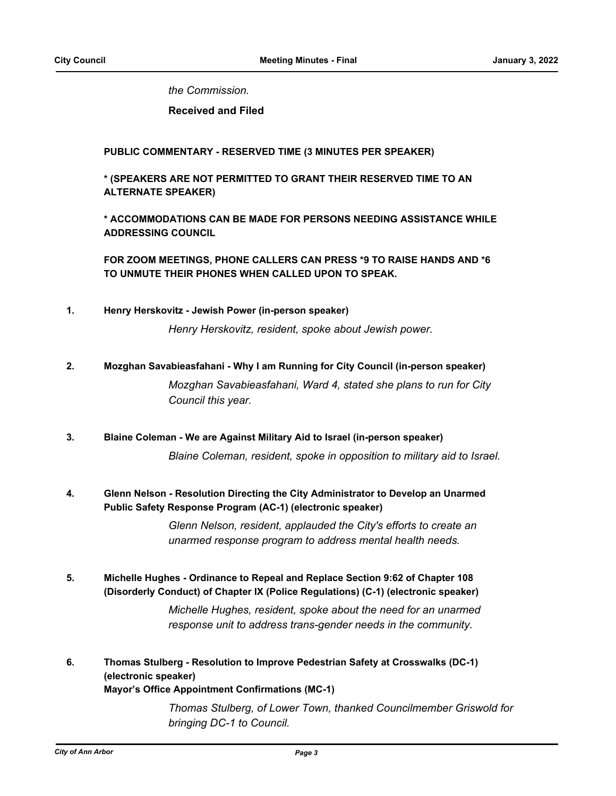*the Commission.*

**Received and Filed**

**PUBLIC COMMENTARY - RESERVED TIME (3 MINUTES PER SPEAKER)**

**\* (SPEAKERS ARE NOT PERMITTED TO GRANT THEIR RESERVED TIME TO AN ALTERNATE SPEAKER)**

**\* ACCOMMODATIONS CAN BE MADE FOR PERSONS NEEDING ASSISTANCE WHILE ADDRESSING COUNCIL**

**FOR ZOOM MEETINGS, PHONE CALLERS CAN PRESS \*9 TO RAISE HANDS AND \*6 TO UNMUTE THEIR PHONES WHEN CALLED UPON TO SPEAK.**

**1. Henry Herskovitz - Jewish Power (in-person speaker)**

*Henry Herskovitz, resident, spoke about Jewish power.*

**2. Mozghan Savabieasfahani - Why I am Running for City Council (in-person speaker)**

*Mozghan Savabieasfahani, Ward 4, stated she plans to run for City Council this year.*

**3. Blaine Coleman - We are Against Military Aid to Israel (in-person speaker)**

*Blaine Coleman, resident, spoke in opposition to military aid to Israel.*

**Glenn Nelson - Resolution Directing the City Administrator to Develop an Unarmed Public Safety Response Program (AC-1) (electronic speaker) 4.**

> *Glenn Nelson, resident, applauded the City's efforts to create an unarmed response program to address mental health needs.*

**Michelle Hughes - Ordinance to Repeal and Replace Section 9:62 of Chapter 108 (Disorderly Conduct) of Chapter IX (Police Regulations) (C-1) (electronic speaker) 5.**

> *Michelle Hughes, resident, spoke about the need for an unarmed response unit to address trans-gender needs in the community.*

**Thomas Stulberg - Resolution to Improve Pedestrian Safety at Crosswalks (DC-1) (electronic speaker) Mayor's Office Appointment Confirmations (MC-1) 6.**

> *Thomas Stulberg, of Lower Town, thanked Councilmember Griswold for bringing DC-1 to Council.*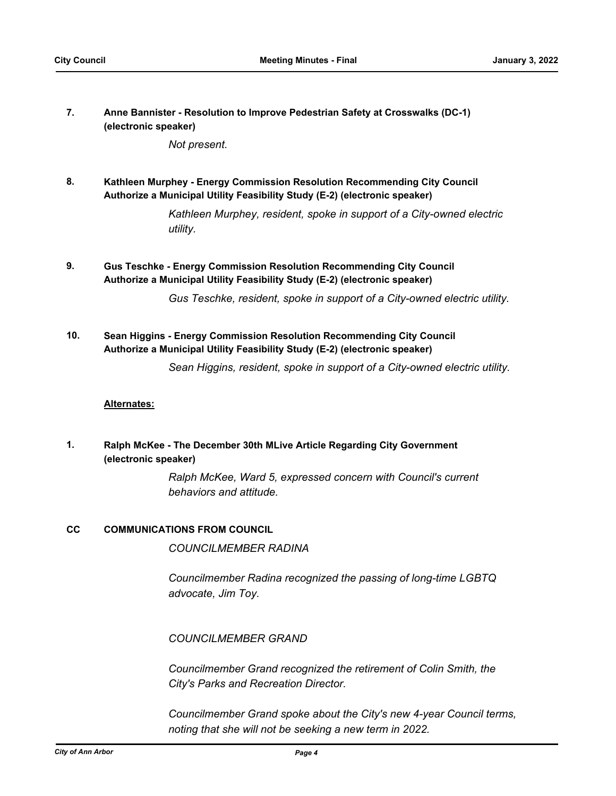**Anne Bannister - Resolution to Improve Pedestrian Safety at Crosswalks (DC-1) (electronic speaker) 7.**

*Not present.*

**Kathleen Murphey - Energy Commission Resolution Recommending City Council Authorize a Municipal Utility Feasibility Study (E-2) (electronic speaker) 8.**

> *Kathleen Murphey, resident, spoke in support of a City-owned electric utility.*

**Gus Teschke - Energy Commission Resolution Recommending City Council Authorize a Municipal Utility Feasibility Study (E-2) (electronic speaker) 9.**

*Gus Teschke, resident, spoke in support of a City-owned electric utility.*

**Sean Higgins - Energy Commission Resolution Recommending City Council Authorize a Municipal Utility Feasibility Study (E-2) (electronic speaker) 10.**

*Sean Higgins, resident, spoke in support of a City-owned electric utility.*

#### **Alternates:**

**Ralph McKee - The December 30th MLive Article Regarding City Government (electronic speaker) 1.**

> *Ralph McKee, Ward 5, expressed concern with Council's current behaviors and attitude.*

#### **CC COMMUNICATIONS FROM COUNCIL**

*COUNCILMEMBER RADINA*

*Councilmember Radina recognized the passing of long-time LGBTQ advocate, Jim Toy.*

*COUNCILMEMBER GRAND*

*Councilmember Grand recognized the retirement of Colin Smith, the City's Parks and Recreation Director.* 

*Councilmember Grand spoke about the City's new 4-year Council terms, noting that she will not be seeking a new term in 2022.*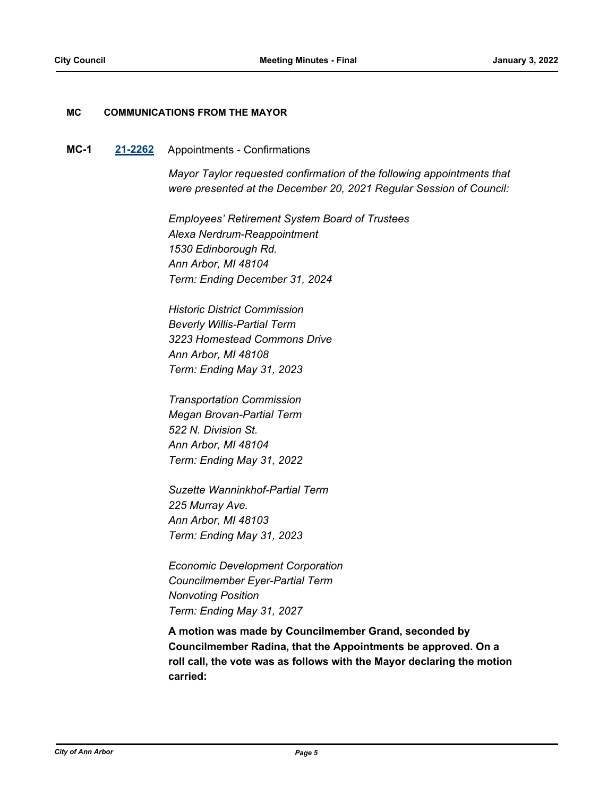#### **MC COMMUNICATIONS FROM THE MAYOR**

#### **MC-1 [21-2262](http://a2gov.legistar.com/gateway.aspx?M=L&ID=29178)** Appointments - Confirmations

*Mayor Taylor requested confirmation of the following appointments that were presented at the December 20, 2021 Regular Session of Council:* 

*Employees' Retirement System Board of Trustees Alexa Nerdrum-Reappointment 1530 Edinborough Rd. Ann Arbor, MI 48104 Term: Ending December 31, 2024*

*Historic District Commission Beverly Willis-Partial Term 3223 Homestead Commons Drive Ann Arbor, MI 48108 Term: Ending May 31, 2023*

*Transportation Commission Megan Brovan-Partial Term 522 N. Division St. Ann Arbor, MI 48104 Term: Ending May 31, 2022*

*Suzette Wanninkhof-Partial Term 225 Murray Ave. Ann Arbor, MI 48103 Term: Ending May 31, 2023*

*Economic Development Corporation Councilmember Eyer-Partial Term Nonvoting Position Term: Ending May 31, 2027*

**A motion was made by Councilmember Grand, seconded by Councilmember Radina, that the Appointments be approved. On a roll call, the vote was as follows with the Mayor declaring the motion carried:**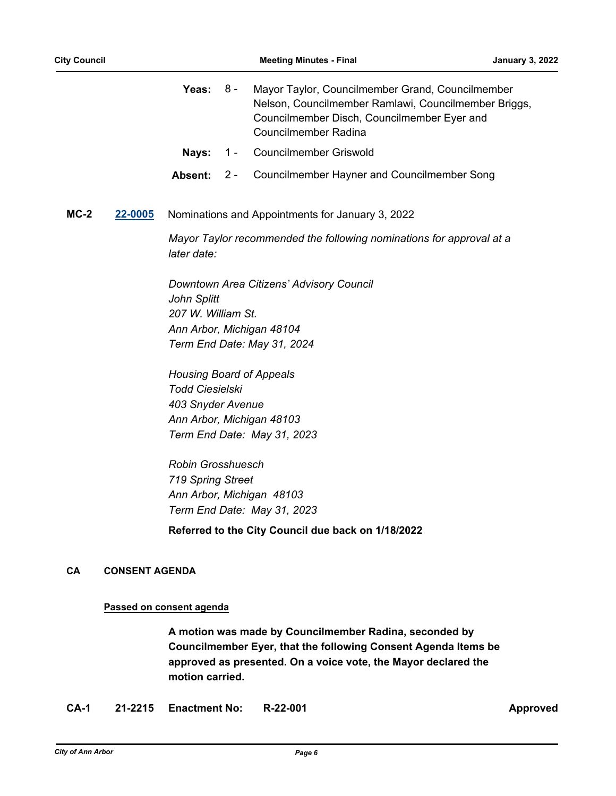|        |                                                             | Yeas:                                                                                                                      | 8 -   | Mayor Taylor, Councilmember Grand, Councilmember<br>Nelson, Councilmember Ramlawi, Councilmember Briggs,<br>Councilmember Disch, Councilmember Eyer and<br><b>Councilmember Radina</b> |  |  |  |
|--------|-------------------------------------------------------------|----------------------------------------------------------------------------------------------------------------------------|-------|----------------------------------------------------------------------------------------------------------------------------------------------------------------------------------------|--|--|--|
|        |                                                             | Nays:                                                                                                                      | $1 -$ | <b>Councilmember Griswold</b>                                                                                                                                                          |  |  |  |
|        |                                                             | Absent:                                                                                                                    | $2 -$ | <b>Councilmember Hayner and Councilmember Song</b>                                                                                                                                     |  |  |  |
| $MC-2$ | 22-0005<br>Nominations and Appointments for January 3, 2022 |                                                                                                                            |       |                                                                                                                                                                                        |  |  |  |
|        |                                                             | Mayor Taylor recommended the following nominations for approval at a<br>later date:                                        |       |                                                                                                                                                                                        |  |  |  |
|        |                                                             | <b>John Splitt</b><br>207 W. William St.<br><b>Housing Board of Appeals</b><br><b>Todd Ciesielski</b><br>403 Snyder Avenue |       | Downtown Area Citizens' Advisory Council<br>Ann Arbor, Michigan 48104<br>Term End Date: May 31, 2024<br>Ann Arbor, Michigan 48103<br>Term End Date: May 31, 2023                       |  |  |  |
|        |                                                             | <b>Robin Grosshuesch</b><br>719 Spring Street                                                                              |       | Ann Arbor, Michigan 48103<br>Term End Date: May 31, 2023<br>Referred to the City Council due back on 1/18/2022                                                                         |  |  |  |

## **CA CONSENT AGENDA**

### **Passed on consent agenda**

**A motion was made by Councilmember Radina, seconded by Councilmember Eyer, that the following Consent Agenda Items be approved as presented. On a voice vote, the Mayor declared the motion carried.**

**CA-1 21-2215 Enactment No: R-22-001 Approved**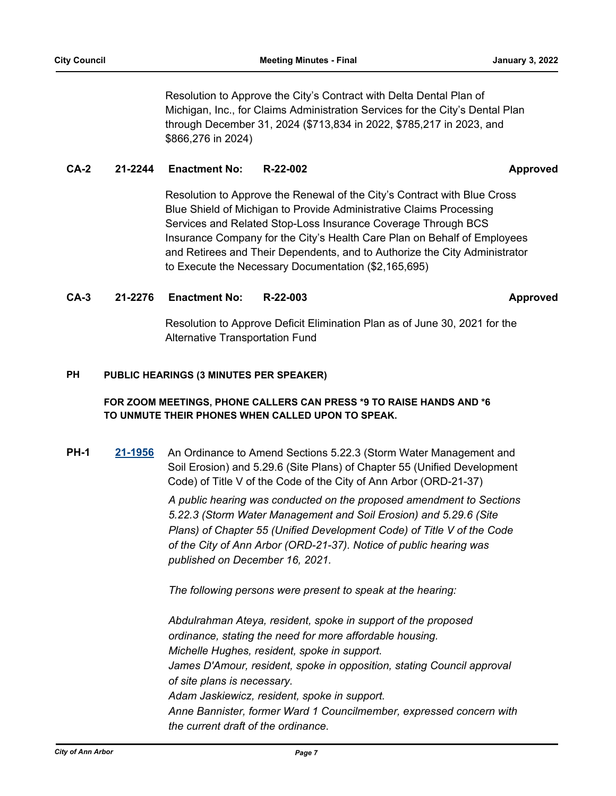Resolution to Approve the City's Contract with Delta Dental Plan of Michigan, Inc., for Claims Administration Services for the City's Dental Plan through December 31, 2024 (\$713,834 in 2022, \$785,217 in 2023, and \$866,276 in 2024)

#### **CA-2 21-2244 Enactment No: R-22-002 Approved**

Resolution to Approve the Renewal of the City's Contract with Blue Cross Blue Shield of Michigan to Provide Administrative Claims Processing Services and Related Stop-Loss Insurance Coverage Through BCS Insurance Company for the City's Health Care Plan on Behalf of Employees and Retirees and Their Dependents, and to Authorize the City Administrator to Execute the Necessary Documentation (\$2,165,695)

#### **CA-3 21-2276 Enactment No: R-22-003 Approved**

Resolution to Approve Deficit Elimination Plan as of June 30, 2021 for the Alternative Transportation Fund

#### **PUBLIC HEARINGS (3 MINUTES PER SPEAKER) PH**

### **FOR ZOOM MEETINGS, PHONE CALLERS CAN PRESS \*9 TO RAISE HANDS AND \*6 TO UNMUTE THEIR PHONES WHEN CALLED UPON TO SPEAK.**

**PH-1 [21-1956](http://a2gov.legistar.com/gateway.aspx?M=L&ID=28878)** An Ordinance to Amend Sections 5.22.3 (Storm Water Management and Soil Erosion) and 5.29.6 (Site Plans) of Chapter 55 (Unified Development Code) of Title V of the Code of the City of Ann Arbor (ORD-21-37)

> *A public hearing was conducted on the proposed amendment to Sections 5.22.3 (Storm Water Management and Soil Erosion) and 5.29.6 (Site Plans) of Chapter 55 (Unified Development Code) of Title V of the Code of the City of Ann Arbor (ORD-21-37). Notice of public hearing was published on December 16, 2021.*

*The following persons were present to speak at the hearing:*

*Abdulrahman Ateya, resident, spoke in support of the proposed ordinance, stating the need for more affordable housing. Michelle Hughes, resident, spoke in support.* James D'Amour, resident, spoke in opposition, stating Council approval *of site plans is necessary. Adam Jaskiewicz, resident, spoke in support. Anne Bannister, former Ward 1 Councilmember, expressed concern with the current draft of the ordinance.*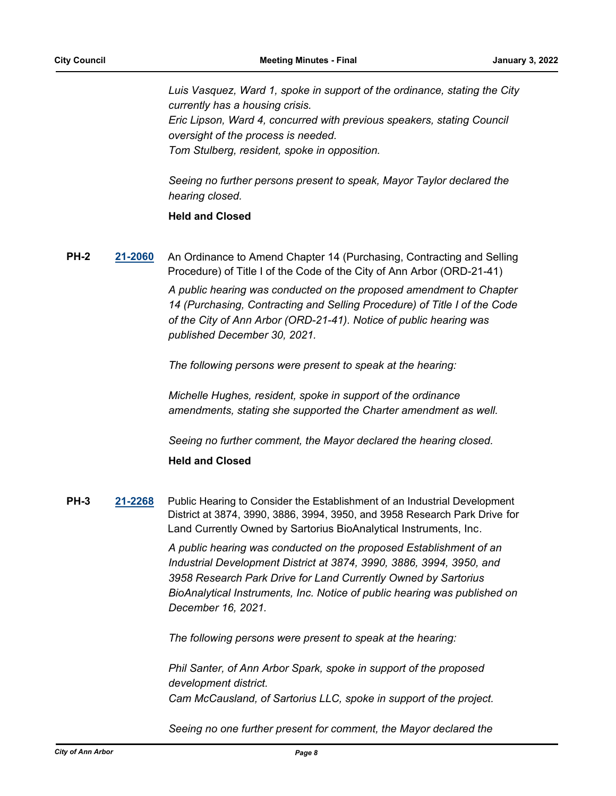*Luis Vasquez, Ward 1, spoke in support of the ordinance, stating the City currently has a housing crisis. Eric Lipson, Ward 4, concurred with previous speakers, stating Council oversight of the process is needed. Tom Stulberg, resident, spoke in opposition.*

*Seeing no further persons present to speak, Mayor Taylor declared the hearing closed.*

### **Held and Closed**

**PH-2 [21-2060](http://a2gov.legistar.com/gateway.aspx?M=L&ID=28979)** An Ordinance to Amend Chapter 14 (Purchasing, Contracting and Selling Procedure) of Title I of the Code of the City of Ann Arbor (ORD-21-41)

> *A public hearing was conducted on the proposed amendment to Chapter 14 (Purchasing, Contracting and Selling Procedure) of Title I of the Code of the City of Ann Arbor (ORD-21-41). Notice of public hearing was published December 30, 2021.*

*The following persons were present to speak at the hearing:*

*Michelle Hughes, resident, spoke in support of the ordinance amendments, stating she supported the Charter amendment as well.*

*Seeing no further comment, the Mayor declared the hearing closed.*

#### **Held and Closed**

**PH-3 [21-2268](http://a2gov.legistar.com/gateway.aspx?M=L&ID=29184)** Public Hearing to Consider the Establishment of an Industrial Development District at 3874, 3990, 3886, 3994, 3950, and 3958 Research Park Drive for Land Currently Owned by Sartorius BioAnalytical Instruments, Inc.

> *A public hearing was conducted on the proposed Establishment of an Industrial Development District at 3874, 3990, 3886, 3994, 3950, and 3958 Research Park Drive for Land Currently Owned by Sartorius BioAnalytical Instruments, Inc. Notice of public hearing was published on December 16, 2021.*

*The following persons were present to speak at the hearing:*

*Phil Santer, of Ann Arbor Spark, spoke in support of the proposed development district. Cam McCausland, of Sartorius LLC, spoke in support of the project.*

*Seeing no one further present for comment, the Mayor declared the*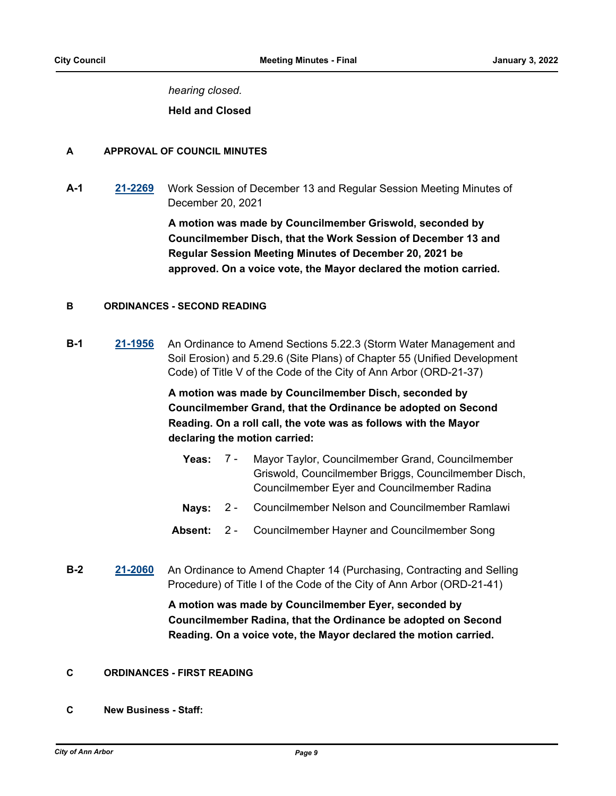*hearing closed.*

**Held and Closed**

#### **A APPROVAL OF COUNCIL MINUTES**

**A-1 [21-2269](http://a2gov.legistar.com/gateway.aspx?M=L&ID=29185)** Work Session of December 13 and Regular Session Meeting Minutes of December 20, 2021

> **A motion was made by Councilmember Griswold, seconded by Councilmember Disch, that the Work Session of December 13 and Regular Session Meeting Minutes of December 20, 2021 be approved. On a voice vote, the Mayor declared the motion carried.**

#### **B ORDINANCES - SECOND READING**

**B-1 [21-1956](http://a2gov.legistar.com/gateway.aspx?M=L&ID=28878)** An Ordinance to Amend Sections 5.22.3 (Storm Water Management and Soil Erosion) and 5.29.6 (Site Plans) of Chapter 55 (Unified Development Code) of Title V of the Code of the City of Ann Arbor (ORD-21-37)

> **A motion was made by Councilmember Disch, seconded by Councilmember Grand, that the Ordinance be adopted on Second Reading. On a roll call, the vote was as follows with the Mayor declaring the motion carried:**

- Yeas: 7 Mayor Taylor, Councilmember Grand, Councilmember Griswold, Councilmember Briggs, Councilmember Disch, Councilmember Eyer and Councilmember Radina  $7 -$
- **Nays:** 2 Councilmember Nelson and Councilmember Ramlawi
- **Absent:** 2 Councilmember Hayner and Councilmember Song
- **B-2 [21-2060](http://a2gov.legistar.com/gateway.aspx?M=L&ID=28979)** An Ordinance to Amend Chapter 14 (Purchasing, Contracting and Selling Procedure) of Title I of the Code of the City of Ann Arbor (ORD-21-41)

**A motion was made by Councilmember Eyer, seconded by Councilmember Radina, that the Ordinance be adopted on Second Reading. On a voice vote, the Mayor declared the motion carried.**

#### **C ORDINANCES - FIRST READING**

**C New Business - Staff:**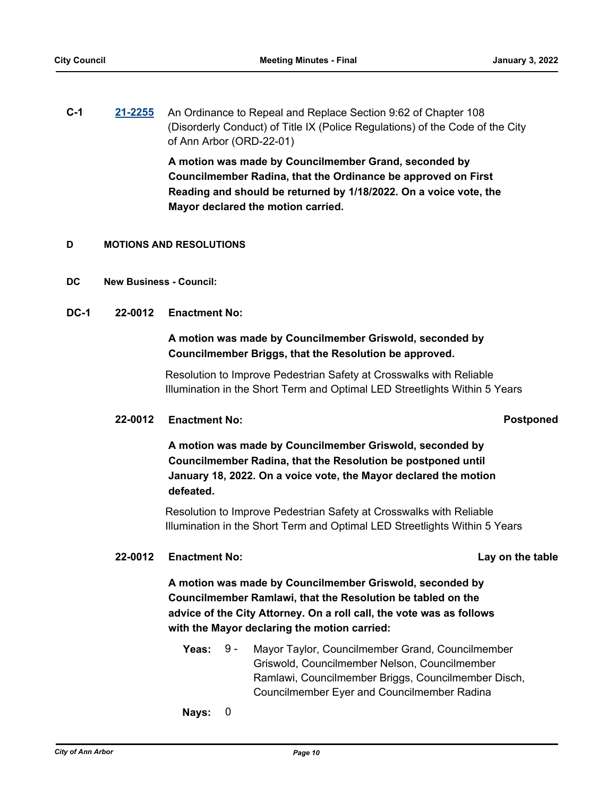**C-1 [21-2255](http://a2gov.legistar.com/gateway.aspx?M=L&ID=29171)** An Ordinance to Repeal and Replace Section 9:62 of Chapter 108 (Disorderly Conduct) of Title IX (Police Regulations) of the Code of the City of Ann Arbor (ORD-22-01)

> **A motion was made by Councilmember Grand, seconded by Councilmember Radina, that the Ordinance be approved on First Reading and should be returned by 1/18/2022. On a voice vote, the Mayor declared the motion carried.**

#### **D MOTIONS AND RESOLUTIONS**

- **DC New Business Council:**
- **DC-1 22-0012 Enactment No:**

### **A motion was made by Councilmember Griswold, seconded by Councilmember Briggs, that the Resolution be approved.**

Resolution to Improve Pedestrian Safety at Crosswalks with Reliable Illumination in the Short Term and Optimal LED Streetlights Within 5 Years

#### **22-0012 Enactment No: Postponed**

**A motion was made by Councilmember Griswold, seconded by Councilmember Radina, that the Resolution be postponed until January 18, 2022. On a voice vote, the Mayor declared the motion defeated.**

Resolution to Improve Pedestrian Safety at Crosswalks with Reliable Illumination in the Short Term and Optimal LED Streetlights Within 5 Years

#### **22-0012 Enactment No: Lay on the table**

**A motion was made by Councilmember Griswold, seconded by Councilmember Ramlawi, that the Resolution be tabled on the advice of the City Attorney. On a roll call, the vote was as follows with the Mayor declaring the motion carried:**

- **Yeas:** Mayor Taylor, Councilmember Grand, Councilmember Griswold, Councilmember Nelson, Councilmember Ramlawi, Councilmember Briggs, Councilmember Disch, Councilmember Eyer and Councilmember Radina Yeas:  $9 -$
- **Nays:** 0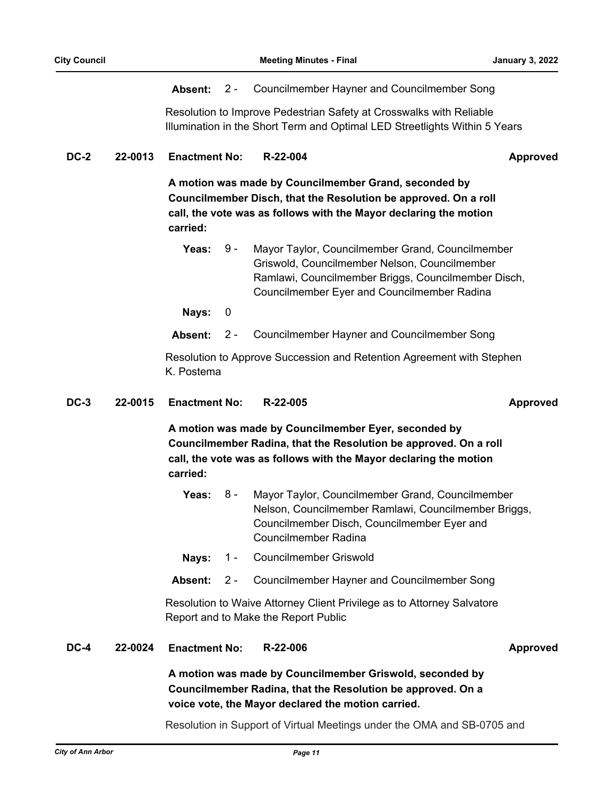#### **Absent:** 2 - Councilmember Hayner and Councilmember Song

Resolution to Improve Pedestrian Safety at Crosswalks with Reliable Illumination in the Short Term and Optimal LED Streetlights Within 5 Years

**DC-2 22-0013 Enactment No: R-22-004 Approved**

**A motion was made by Councilmember Grand, seconded by Councilmember Disch, that the Resolution be approved. On a roll call, the vote was as follows with the Mayor declaring the motion carried:**

Yeas: 9 - Mayor Taylor, Councilmember Grand, Councilmember Griswold, Councilmember Nelson, Councilmember Ramlawi, Councilmember Briggs, Councilmember Disch, Councilmember Eyer and Councilmember Radina 9 -

**Nays:** 0

**Absent:** 2 - Councilmember Hayner and Councilmember Song

Resolution to Approve Succession and Retention Agreement with Stephen K. Postema

#### **DC-3 22-0015 Enactment No: R-22-005 Approved**

**A motion was made by Councilmember Eyer, seconded by Councilmember Radina, that the Resolution be approved. On a roll call, the vote was as follows with the Mayor declaring the motion carried:**

- Yeas: 8 Mayor Taylor, Councilmember Grand, Councilmember Nelson, Councilmember Ramlawi, Councilmember Briggs, Councilmember Disch, Councilmember Eyer and Councilmember Radina 8 -
- **Nays:** 1 Councilmember Griswold
- **Absent:** 2 Councilmember Hayner and Councilmember Song

Resolution to Waive Attorney Client Privilege as to Attorney Salvatore Report and to Make the Report Public

**DC-4 22-0024 Enactment No: R-22-006 Approved**

**A motion was made by Councilmember Griswold, seconded by Councilmember Radina, that the Resolution be approved. On a voice vote, the Mayor declared the motion carried.**

Resolution in Support of Virtual Meetings under the OMA and SB-0705 and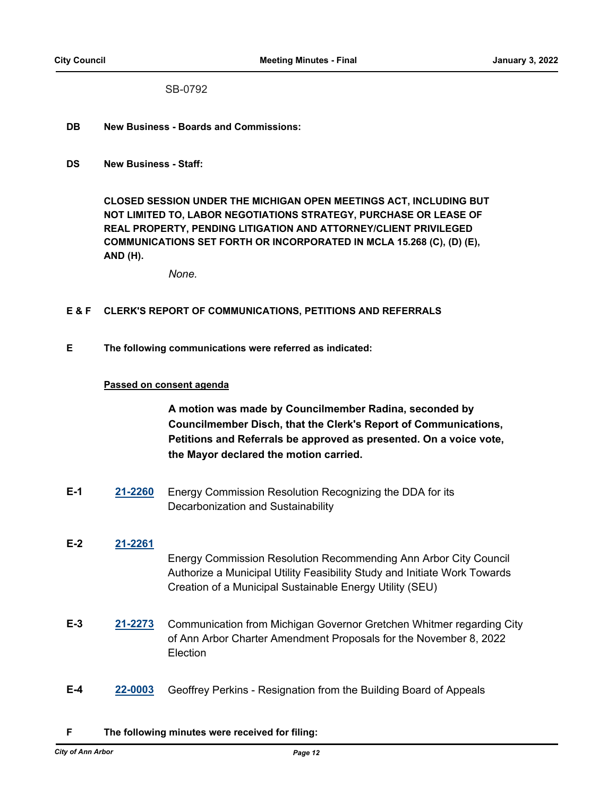SB-0792

- **DB New Business Boards and Commissions:**
- **DS New Business Staff:**

**CLOSED SESSION UNDER THE MICHIGAN OPEN MEETINGS ACT, INCLUDING BUT NOT LIMITED TO, LABOR NEGOTIATIONS STRATEGY, PURCHASE OR LEASE OF REAL PROPERTY, PENDING LITIGATION AND ATTORNEY/CLIENT PRIVILEGED COMMUNICATIONS SET FORTH OR INCORPORATED IN MCLA 15.268 (C), (D) (E), AND (H).**

*None.*

#### **E & F CLERK'S REPORT OF COMMUNICATIONS, PETITIONS AND REFERRALS**

**E The following communications were referred as indicated:**

#### **Passed on consent agenda**

**A motion was made by Councilmember Radina, seconded by Councilmember Disch, that the Clerk's Report of Communications, Petitions and Referrals be approved as presented. On a voice vote, the Mayor declared the motion carried.**

- **E-1 [21-2260](http://a2gov.legistar.com/gateway.aspx?M=L&ID=29176)** Energy Commission Resolution Recognizing the DDA for its Decarbonization and Sustainability
- **E-2 [21-2261](http://a2gov.legistar.com/gateway.aspx?M=L&ID=29177)** Energy Commission Resolution Recommending Ann Arbor City Council Authorize a Municipal Utility Feasibility Study and Initiate Work Towards Creation of a Municipal Sustainable Energy Utility (SEU)
- **E-3 [21-2273](http://a2gov.legistar.com/gateway.aspx?M=L&ID=29188)** Communication from Michigan Governor Gretchen Whitmer regarding City of Ann Arbor Charter Amendment Proposals for the November 8, 2022 **Election**
- **E-4 [22-0003](http://a2gov.legistar.com/gateway.aspx?M=L&ID=29194)** Geoffrey Perkins Resignation from the Building Board of Appeals

#### **F The following minutes were received for filing:**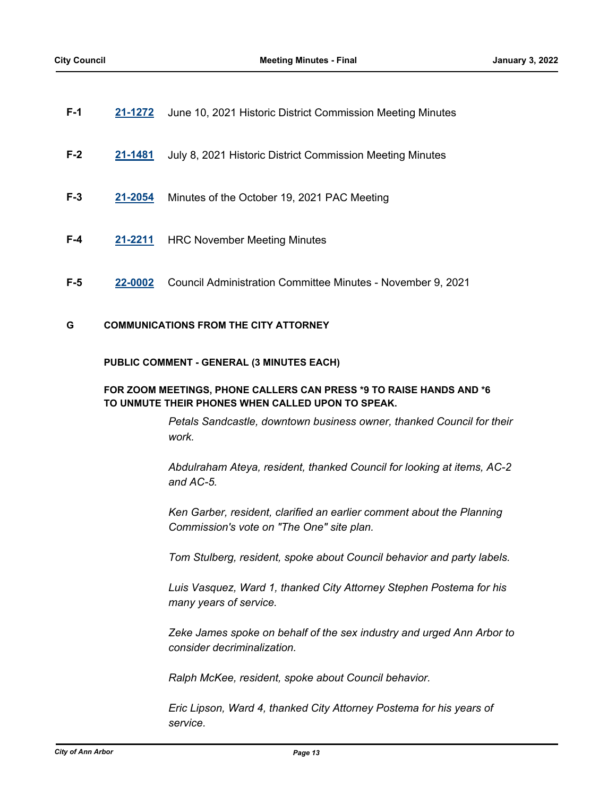| F-1   | 21-1272 | June 10, 2021 Historic District Commission Meeting Minutes  |
|-------|---------|-------------------------------------------------------------|
| $F-2$ | 21-1481 | July 8, 2021 Historic District Commission Meeting Minutes   |
| $F-3$ | 21-2054 | Minutes of the October 19, 2021 PAC Meeting                 |
| F-4   | 21-2211 | <b>HRC November Meeting Minutes</b>                         |
| F-5   | 22-0002 | Council Administration Committee Minutes - November 9, 2021 |

#### **G COMMUNICATIONS FROM THE CITY ATTORNEY**

#### **PUBLIC COMMENT - GENERAL (3 MINUTES EACH)**

#### **FOR ZOOM MEETINGS, PHONE CALLERS CAN PRESS \*9 TO RAISE HANDS AND \*6 TO UNMUTE THEIR PHONES WHEN CALLED UPON TO SPEAK.**

*Petals Sandcastle, downtown business owner, thanked Council for their work.*

*Abdulraham Ateya, resident, thanked Council for looking at items, AC-2 and AC-5.*

*Ken Garber, resident, clarified an earlier comment about the Planning Commission's vote on "The One" site plan.*

*Tom Stulberg, resident, spoke about Council behavior and party labels.*

*Luis Vasquez, Ward 1, thanked City Attorney Stephen Postema for his many years of service.*

*Zeke James spoke on behalf of the sex industry and urged Ann Arbor to consider decriminalization.*

*Ralph McKee, resident, spoke about Council behavior.*

*Eric Lipson, Ward 4, thanked City Attorney Postema for his years of service.*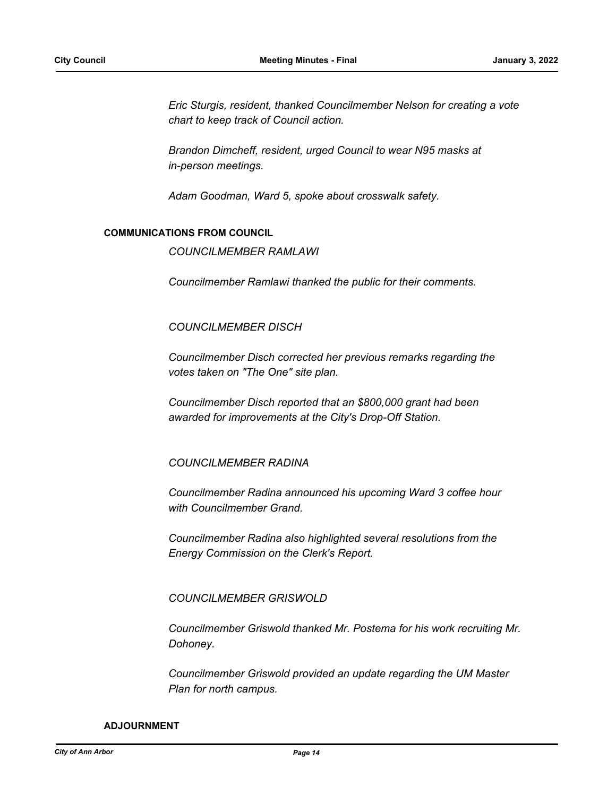*Eric Sturgis, resident, thanked Councilmember Nelson for creating a vote chart to keep track of Council action.*

*Brandon Dimcheff, resident, urged Council to wear N95 masks at in-person meetings.*

*Adam Goodman, Ward 5, spoke about crosswalk safety.*

#### **COMMUNICATIONS FROM COUNCIL**

*COUNCILMEMBER RAMLAWI*

*Councilmember Ramlawi thanked the public for their comments.* 

#### *COUNCILMEMBER DISCH*

*Councilmember Disch corrected her previous remarks regarding the votes taken on "The One" site plan.*

*Councilmember Disch reported that an \$800,000 grant had been awarded for improvements at the City's Drop-Off Station.*

#### *COUNCILMEMBER RADINA*

*Councilmember Radina announced his upcoming Ward 3 coffee hour with Councilmember Grand.* 

*Councilmember Radina also highlighted several resolutions from the Energy Commission on the Clerk's Report.*

#### *COUNCILMEMBER GRISWOLD*

*Councilmember Griswold thanked Mr. Postema for his work recruiting Mr. Dohoney.* 

*Councilmember Griswold provided an update regarding the UM Master Plan for north campus.*

#### **ADJOURNMENT**